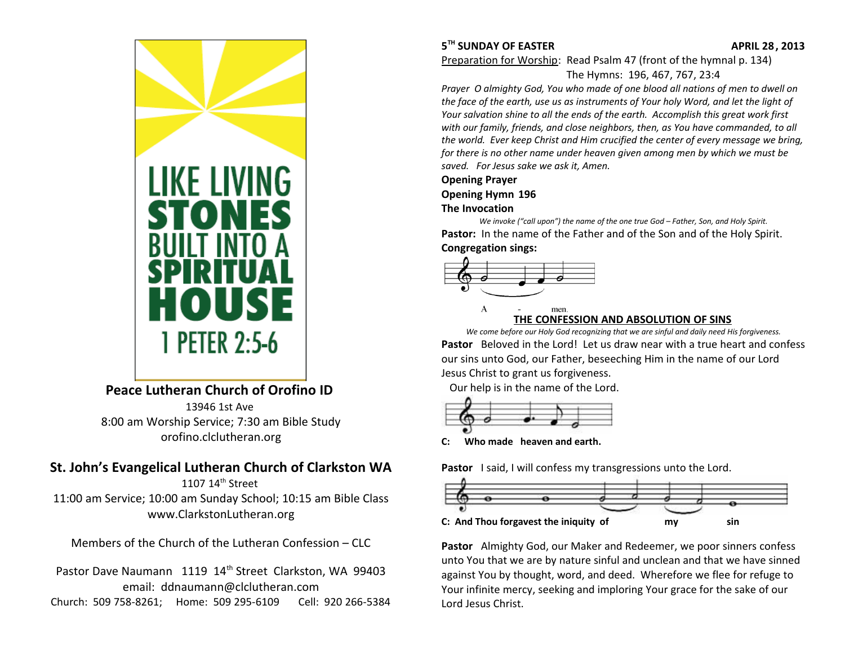

Preparation for Worship: Read Psalm 47 (front of the hymnal p. 134) The Hymns: 196, 467, 767, 23:4

*Prayer O almighty God, You who made of one blood all nations of men to dwell on the face of the earth, use us as instruments of Your holy Word, and let the light of Your salvation shine to all the ends of the earth. Accomplish this great work first with our family, friends, and close neighbors, then, as You have commanded, to all the world. Ever keep Christ and Him crucified the center of every message we bring, for there is no other name under heaven given among men by which we must be saved. For Jesus sake we ask it, Amen.*

#### **Opening Prayer**

### **Opening Hymn 196**

#### **The Invocation**

*We invoke ("call upon") the name of the one true God – Father, Son, and Holy Spirit.* Pastor: In the name of the Father and of the Son and of the Holy Spirit. **Congregation sings:**



#### men **THE CONFESSION AND ABSOLUTION OF SINS**

*We come before our Holy God recognizing that we are sinful and daily need His forgiveness.* **Pastor** Beloved in the Lord! Let us draw near with a true heart and confess our sins unto God, our Father, beseeching Him in the name of our Lord Jesus Christ to grant us forgiveness.

Our help is in the name of the Lord.



**C: Who made heaven and earth.**

Pastor I said, I will confess my transgressions unto the Lord.



**Pastor** Almighty God, our Maker and Redeemer, we poor sinners confess unto You that we are by nature sinful and unclean and that we have sinned against You by thought, word, and deed. Wherefore we flee for refuge to Your infinite mercy, seeking and imploring Your grace for the sake of our Lord Jesus Christ.



# **Peace Lutheran Church of Orofino ID**

13946 1st Ave 8:00 am Worship Service; 7:30 am Bible Study [orofino.clclutheran.org](http://www.orofinolutheran.org/)

# **St. John's Evangelical Lutheran Church of Clarkston WA**

1107 14<sup>th</sup> Street 11:00 am Service; 10:00 am Sunday School; 10:15 am Bible Class [www.ClarkstonLutheran.org](http://www.ClarkstonLutheran.org/)

Members of the Church of the Lutheran Confession – CLC

Pastor Dave Naumann 1119 14<sup>th</sup> Street Clarkston, WA 99403 email: [ddnaumann@clclutheran.com](mailto:ddnaumann@clclutheran.com) Church: 509 758-8261; Home: 509 295-6109 Cell: 920 266-5384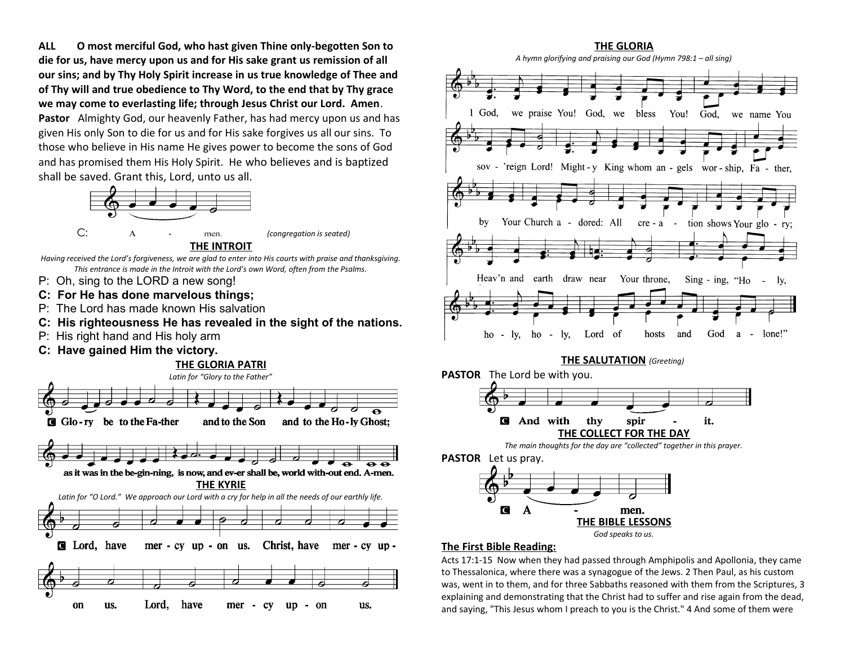**ALL O most merciful God, who hast given Thine only-begotten Son to die for us, have mercy upon us and for His sake grant us remission of all our sins; and by Thy Holy Spirit increase in us true knowledge of Thee and of Thy will and true obedience to Thy Word, to the end that by Thy grace we may come to everlasting life; through Jesus Christ our Lord. Amen**. **Pastor** Almighty God, our heavenly Father, has had mercy upon us and has given His only Son to die for us and for His sake forgives us all our sins. To

those who believe in His name He gives power to become the sons of God and has promised them His Holy Spirit. He who believes and is baptized shall be saved. Grant this, Lord, unto us all.



**THE INTROIT**

*Having received the Lord's forgiveness, we are glad to enter into His courts with praise and thanksgiving. This entrance is made in the Introit with the Lord's own Word, often from the Psalms.*

- P: Oh, sing to the LORD a new song!
- **C: For He has done marvelous things;**
- P: The Lord has made known His salvation
- **C: His righteousness He has revealed in the sight of the nations.**
- P: His right hand and His holy arm
- **C: Have gained Him the victory.**







### **The First Bible Reading:**

Acts 17:1-15 Now when they had passed through Amphipolis and Apollonia, they came to Thessalonica, where there was a synagogue of the Jews. 2 Then Paul, as his custom was, went in to them, and for three Sabbaths reasoned with them from the Scriptures, 3 explaining and demonstrating that the Christ had to suffer and rise again from the dead, and saying, "This Jesus whom I preach to you is the Christ." 4 And some of them were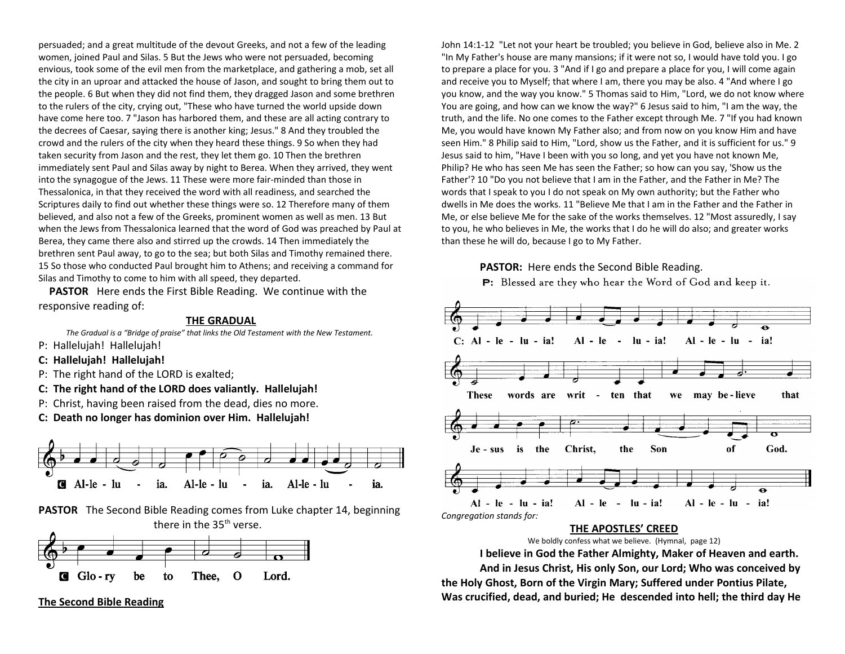persuaded; and a great multitude of the devout Greeks, and not a few of the leading women, joined Paul and Silas. 5 But the Jews who were not persuaded, becoming envious, took some of the evil men from the marketplace, and gathering a mob, set all the city in an uproar and attacked the house of Jason, and sought to bring them out to the people. 6 But when they did not find them, they dragged Jason and some brethren to the rulers of the city, crying out, "These who have turned the world upside down have come here too. 7 "Jason has harbored them, and these are all acting contrary to the decrees of Caesar, saying there is another king; Jesus." 8 And they troubled the crowd and the rulers of the city when they heard these things. 9 So when they had taken security from Jason and the rest, they let them go. 10 Then the brethren immediately sent Paul and Silas away by night to Berea. When they arrived, they went into the synagogue of the Jews. 11 These were more fair-minded than those in Thessalonica, in that they received the word with all readiness, and searched the Scriptures daily to find out whether these things were so. 12 Therefore many of them believed, and also not a few of the Greeks, prominent women as well as men. 13 But when the Jews from Thessalonica learned that the word of God was preached by Paul at Berea, they came there also and stirred up the crowds. 14 Then immediately the brethren sent Paul away, to go to the sea; but both Silas and Timothy remained there. 15 So those who conducted Paul brought him to Athens; and receiving a command for Silas and Timothy to come to him with all speed, they departed.

**PASTOR** Here ends the First Bible Reading. We continue with the responsive reading of:

#### **THE GRADUAL**

*The Gradual is a "Bridge of praise" that links the Old Testament with the New Testament.*  P: Hallelujah! Hallelujah!

- **C: Hallelujah! Hallelujah!**
- P: The right hand of the LORD is exalted;
- **C: The right hand of the LORD does valiantly. Hallelujah!**
- P: Christ, having been raised from the dead, dies no more.
- **C: Death no longer has dominion over Him. Hallelujah!**



**PASTOR** The Second Bible Reading comes from Luke chapter 14, beginning there in the  $35<sup>th</sup>$  verse.



**The Second Bible Reading**

John 14:1-12 "Let not your heart be troubled; you believe in God, believe also in Me. 2 "In My Father's house are many mansions; if it were not so, I would have told you. I go to prepare a place for you. 3 "And if I go and prepare a place for you, I will come again and receive you to Myself; that where I am, there you may be also. 4 "And where I go you know, and the way you know." 5 Thomas said to Him, "Lord, we do not know where You are going, and how can we know the way?" 6 Jesus said to him, "I am the way, the truth, and the life. No one comes to the Father except through Me. 7 "If you had known Me, you would have known My Father also; and from now on you know Him and have seen Him." 8 Philip said to Him, "Lord, show us the Father, and it is sufficient for us." 9 Jesus said to him, "Have I been with you so long, and yet you have not known Me, Philip? He who has seen Me has seen the Father; so how can you say, 'Show us the Father'? 10 "Do you not believe that I am in the Father, and the Father in Me? The words that I speak to you I do not speak on My own authority; but the Father who dwells in Me does the works. 11 "Believe Me that I am in the Father and the Father in Me, or else believe Me for the sake of the works themselves. 12 "Most assuredly, I say to you, he who believes in Me, the works that I do he will do also; and greater works than these he will do, because I go to My Father.

**PASTOR:** Here ends the Second Bible Reading.

P: Blessed are they who hear the Word of God and keep it.



#### **THE APOSTLES' CREED**

We boldly confess what we believe. (Hymnal, page 12)

**I believe in God the Father Almighty, Maker of Heaven and earth.**

**And in Jesus Christ, His only Son, our Lord; Who was conceived by the Holy Ghost, Born of the Virgin Mary; Suffered under Pontius Pilate, Was crucified, dead, and buried; He descended into hell; the third day He**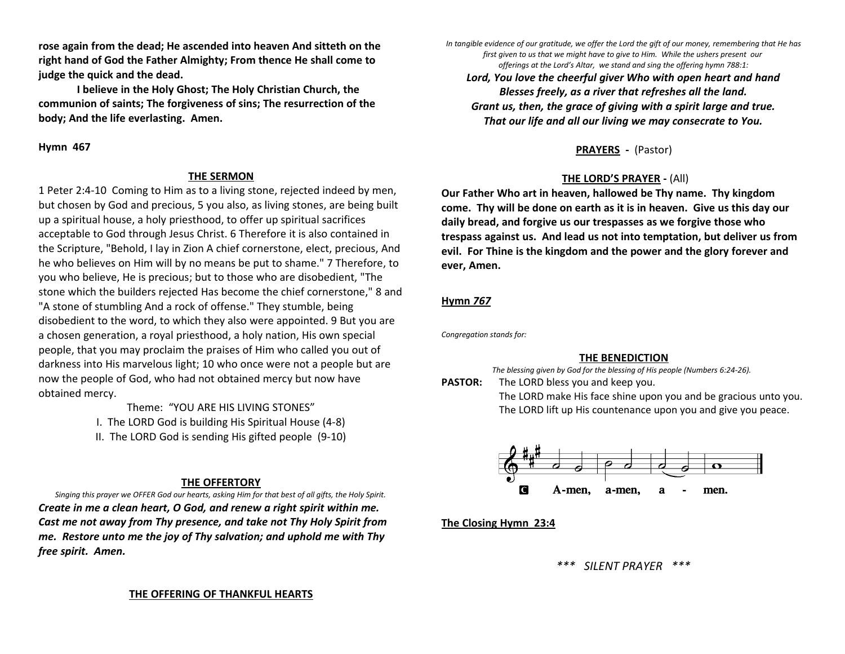**rose again from the dead; He ascended into heaven And sitteth on the right hand of God the Father Almighty; From thence He shall come to judge the quick and the dead.**

**I believe in the Holy Ghost; The Holy Christian Church, the communion of saints; The forgiveness of sins; The resurrection of the body; And the life everlasting. Amen.**

#### **Hymn 467**

#### **THE SERMON**

1 Peter 2:4-10 Coming to Him as to a living stone, rejected indeed by men, but chosen by God and precious, 5 you also, as living stones, are being built up a spiritual house, a holy priesthood, to offer up spiritual sacrifices acceptable to God through Jesus Christ. 6 Therefore it is also contained in the Scripture, "Behold, I lay in Zion A chief cornerstone, elect, precious, And he who believes on Him will by no means be put to shame." 7 Therefore, to you who believe, He is precious; but to those who are disobedient, "The stone which the builders rejected Has become the chief cornerstone," 8 and "A stone of stumbling And a rock of offense." They stumble, being disobedient to the word, to which they also were appointed. 9 But you are a chosen generation, a royal priesthood, a holy nation, His own special people, that you may proclaim the praises of Him who called you out of darkness into His marvelous light; 10 who once were not a people but are now the people of God, who had not obtained mercy but now have obtained mercy.

> Theme: "YOU ARE HIS LIVING STONES" I. The LORD God is building His Spiritual House (4-8) II. The LORD God is sending His gifted people (9-10)

### **THE OFFERTORY**

*Singing this prayer we OFFER God our hearts, asking Him for that best of all gifts, the Holy Spirit. Create in me a clean heart, O God, and renew a right spirit within me. Cast me not away from Thy presence, and take not Thy Holy Spirit from me. Restore unto me the joy of Thy salvation; and uphold me with Thy free spirit. Amen.*

*In tangible evidence of our gratitude, we offer the Lord the gift of our money, remembering that He has first given to us that we might have to give to Him. While the ushers present our offerings at the Lord's Altar, we stand and sing the offering hymn 788:1:*

*Lord, You love the cheerful giver Who with open heart and hand Blesses freely, as a river that refreshes all the land. Grant us, then, the grace of giving with a spirit large and true. That our life and all our living we may consecrate to You.*

**PRAYERS -** (Pastor)

## **THE LORD'S PRAYER -** (All)

**Our Father Who art in heaven, hallowed be Thy name. Thy kingdom come. Thy will be done on earth as it is in heaven. Give us this day our daily bread, and forgive us our trespasses as we forgive those who trespass against us. And lead us not into temptation, but deliver us from evil. For Thine is the kingdom and the power and the glory forever and ever, Amen.** 

## **Hymn** *767*

*Congregation stands for:*

### **THE BENEDICTION**

*The blessing given by God for the blessing of His people (Numbers 6:24-26).*  **PASTOR:** The LORD bless you and keep you.

The LORD make His face shine upon you and be gracious unto you. The LORD lift up His countenance upon you and give you peace.



**The Closing Hymn 23:4**

*\*\*\* SILENT PRAYER \*\*\**

#### **THE OFFERING OF THANKFUL HEARTS**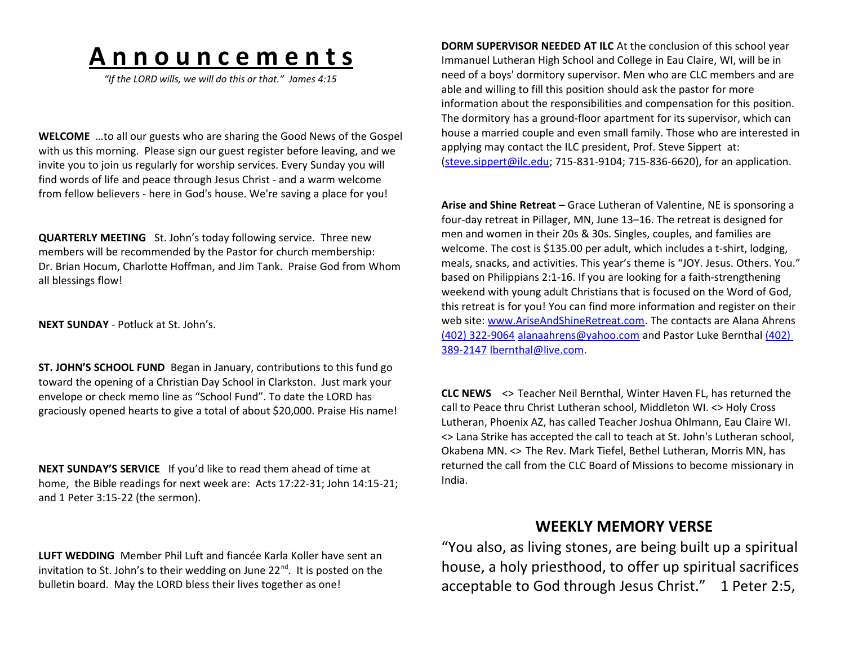# **A n n o u n c e m e n t s**

*"If the LORD wills, we will do this or that." James 4:15*

**WELCOME** …to all our guests who are sharing the Good News of the Gospel with us this morning. Please sign our guest register before leaving, and we invite you to join us regularly for worship services. Every Sunday you will find words of life and peace through Jesus Christ - and a warm welcome from fellow believers - here in God's house. We're saving a place for you!

**QUARTERLY MEETING** St. John's today following service. Three new members will be recommended by the Pastor for church membership: Dr. Brian Hocum, Charlotte Hoffman, and Jim Tank. Praise God from Whom all blessings flow!

**NEXT SUNDAY** - Potluck at St. John's.

**ST. JOHN'S SCHOOL FUND** Began in January, contributions to this fund go toward the opening of a Christian Day School in Clarkston. Just mark your envelope or check memo line as "School Fund". To date the LORD has graciously opened hearts to give a total of about \$20,000. Praise His name!

**NEXT SUNDAY'S SERVICE** If you'd like to read them ahead of time at home, the Bible readings for next week are: Acts 17:22-31; John 14:15-21; and 1 Peter 3:15-22 (the sermon).

**LUFT WEDDING** Member Phil Luft and fiancée Karla Koller have sent an invitation to St. John's to their wedding on June  $22^{nd}$ . It is posted on the bulletin board. May the LORD bless their lives together as one!

**DORM SUPERVISOR NEEDED AT ILC** At the conclusion of this school year Immanuel Lutheran High School and College in Eau Claire, WI, will be in need of a boys' dormitory supervisor. Men who are CLC members and are able and willing to fill this position should ask the pastor for more information about the responsibilities and compensation for this position. The dormitory has a ground-floor apartment for its supervisor, which can house a married couple and even small family. Those who are interested in applying may contact the ILC president, Prof. Steve Sippert at: [\(steve.sippert@ilc.edu;](http://us.mc1616.mail.yahoo.com/mc/compose?to=steve.sippert@ilc.edu) 715-831-9104; 715-836-6620), for an application.

**Arise and Shine Retreat** – Grace Lutheran of Valentine, NE is sponsoring a four-day retreat in Pillager, MN, June 13–16. The retreat is designed for men and women in their 20s & 30s. Singles, couples, and families are welcome. The cost is \$135.00 per adult, which includes a t-shirt, lodging, meals, snacks, and activities. This year's theme is "JOY. Jesus. Others. You." based on Philippians 2:1-16. If you are looking for a faith-strengthening weekend with young adult Christians that is focused on the Word of God, this retreat is for you! You can find more information and register on their web site: [www.AriseAndShineRetreat.com.](http://www.ariseandshineretreat.com/) The contacts are Alana Ahrens [\(402\) 322-9064](tel:(402)%20322-9064) [alanaahrens@yahoo.com](mailto:alanaahrens@yahoo.com) and Pastor Luke Bernthal [\(402\)](tel:(402)%20389-2147)  [389-2147](tel:(402)%20389-2147) [lbernthal@live.com.](mailto:lbernthal@live.com)

**CLC NEWS** <> Teacher Neil Bernthal, Winter Haven FL, has returned the call to Peace thru Christ Lutheran school, Middleton WI. <> Holy Cross Lutheran, Phoenix AZ, has called Teacher Joshua Ohlmann, Eau Claire WI. <> Lana Strike has accepted the call to teach at St. John's Lutheran school, Okabena MN. <> The Rev. Mark Tiefel, Bethel Lutheran, Morris MN, has returned the call from the CLC Board of Missions to become missionary in India.

# **WEEKLY MEMORY VERSE**

"You also, as living stones, are being built up a spiritual house, a holy priesthood, to offer up spiritual sacrifices acceptable to God through Jesus Christ." 1 Peter 2:5,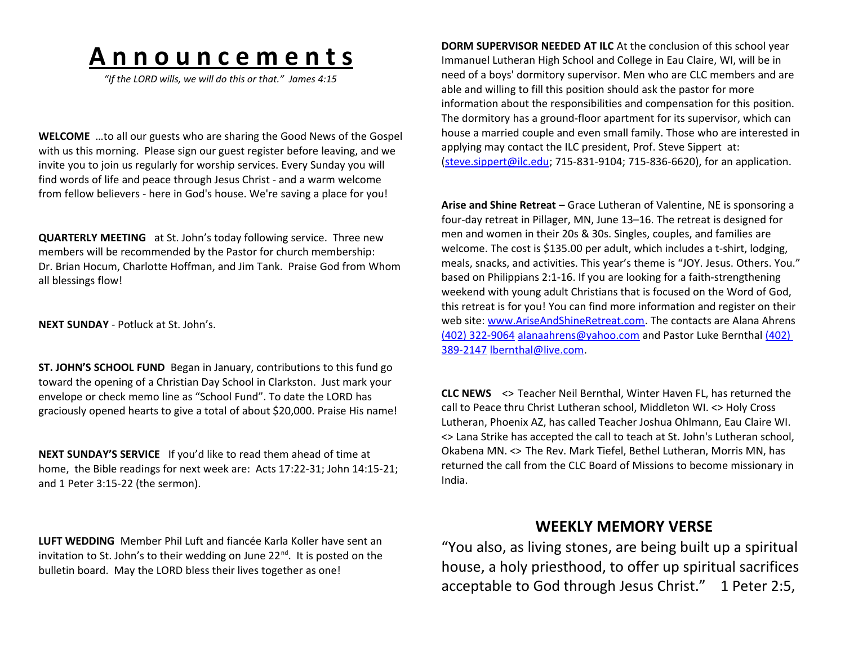# **A n n o u n c e m e n t s**

*"If the LORD wills, we will do this or that." James 4:15*

**WELCOME** …to all our guests who are sharing the Good News of the Gospel with us this morning. Please sign our guest register before leaving, and we invite you to join us regularly for worship services. Every Sunday you will find words of life and peace through Jesus Christ - and a warm welcome from fellow believers - here in God's house. We're saving a place for you!

**QUARTERLY MEETING** at St. John's today following service. Three new members will be recommended by the Pastor for church membership: Dr. Brian Hocum, Charlotte Hoffman, and Jim Tank. Praise God from Whom all blessings flow!

**NEXT SUNDAY** - Potluck at St. John's.

**ST. JOHN'S SCHOOL FUND** Began in January, contributions to this fund go toward the opening of a Christian Day School in Clarkston. Just mark your envelope or check memo line as "School Fund". To date the LORD has graciously opened hearts to give a total of about \$20,000. Praise His name!

**NEXT SUNDAY'S SERVICE** If you'd like to read them ahead of time at home, the Bible readings for next week are: Acts 17:22-31; John 14:15-21; and 1 Peter 3:15-22 (the sermon).

**LUFT WEDDING** Member Phil Luft and fiancée Karla Koller have sent an invitation to St. John's to their wedding on June  $22^{nd}$ . It is posted on the bulletin board. May the LORD bless their lives together as one!

**DORM SUPERVISOR NEEDED AT ILC** At the conclusion of this school year Immanuel Lutheran High School and College in Eau Claire, WI, will be in need of a boys' dormitory supervisor. Men who are CLC members and are able and willing to fill this position should ask the pastor for more information about the responsibilities and compensation for this position. The dormitory has a ground-floor apartment for its supervisor, which can house a married couple and even small family. Those who are interested in applying may contact the ILC president, Prof. Steve Sippert at: [\(steve.sippert@ilc.edu;](http://us.mc1616.mail.yahoo.com/mc/compose?to=steve.sippert@ilc.edu) 715-831-9104; 715-836-6620), for an application.

**Arise and Shine Retreat** – Grace Lutheran of Valentine, NE is sponsoring a four-day retreat in Pillager, MN, June 13–16. The retreat is designed for men and women in their 20s & 30s. Singles, couples, and families are welcome. The cost is \$135.00 per adult, which includes a t-shirt, lodging, meals, snacks, and activities. This year's theme is "JOY. Jesus. Others. You." based on Philippians 2:1-16. If you are looking for a faith-strengthening weekend with young adult Christians that is focused on the Word of God, this retreat is for you! You can find more information and register on their web site: [www.AriseAndShineRetreat.com.](http://www.ariseandshineretreat.com/) The contacts are Alana Ahrens [\(402\) 322-9064](tel:(402)%20322-9064) [alanaahrens@yahoo.com](mailto:alanaahrens@yahoo.com) and Pastor Luke Bernthal [\(402\)](tel:(402)%20389-2147)  [389-2147](tel:(402)%20389-2147) [lbernthal@live.com.](mailto:lbernthal@live.com)

**CLC NEWS** <> Teacher Neil Bernthal, Winter Haven FL, has returned the call to Peace thru Christ Lutheran school, Middleton WI. <> Holy Cross Lutheran, Phoenix AZ, has called Teacher Joshua Ohlmann, Eau Claire WI. <> Lana Strike has accepted the call to teach at St. John's Lutheran school, Okabena MN. <> The Rev. Mark Tiefel, Bethel Lutheran, Morris MN, has returned the call from the CLC Board of Missions to become missionary in India.

# **WEEKLY MEMORY VERSE**

"You also, as living stones, are being built up a spiritual house, a holy priesthood, to offer up spiritual sacrifices acceptable to God through Jesus Christ." 1 Peter 2:5,